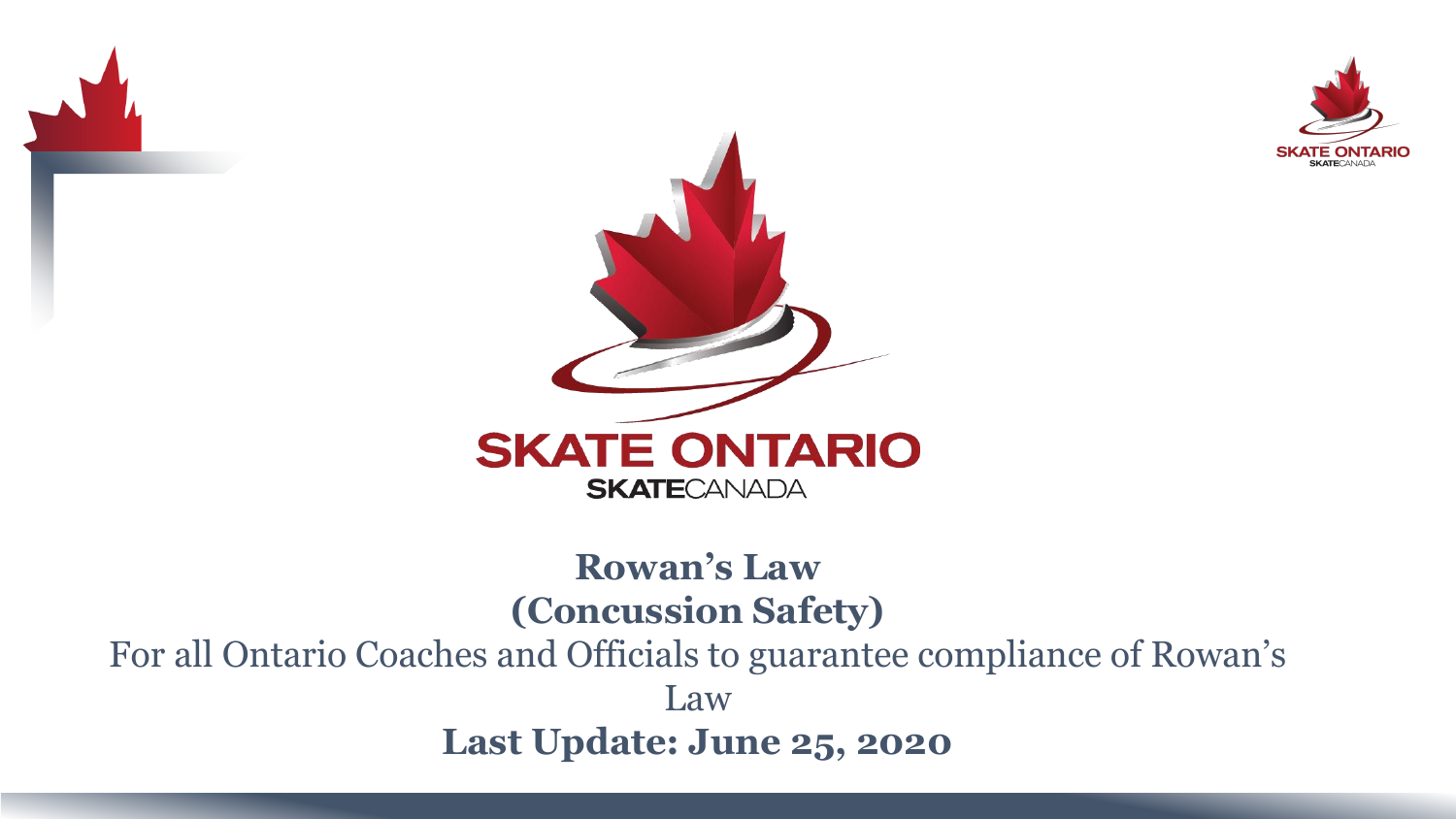



#### **Rowan's Law (Concussion Safety)** For all Ontario Coaches and Officials to guarantee compliance of Rowan's Law **Last Update: June 25, 2020**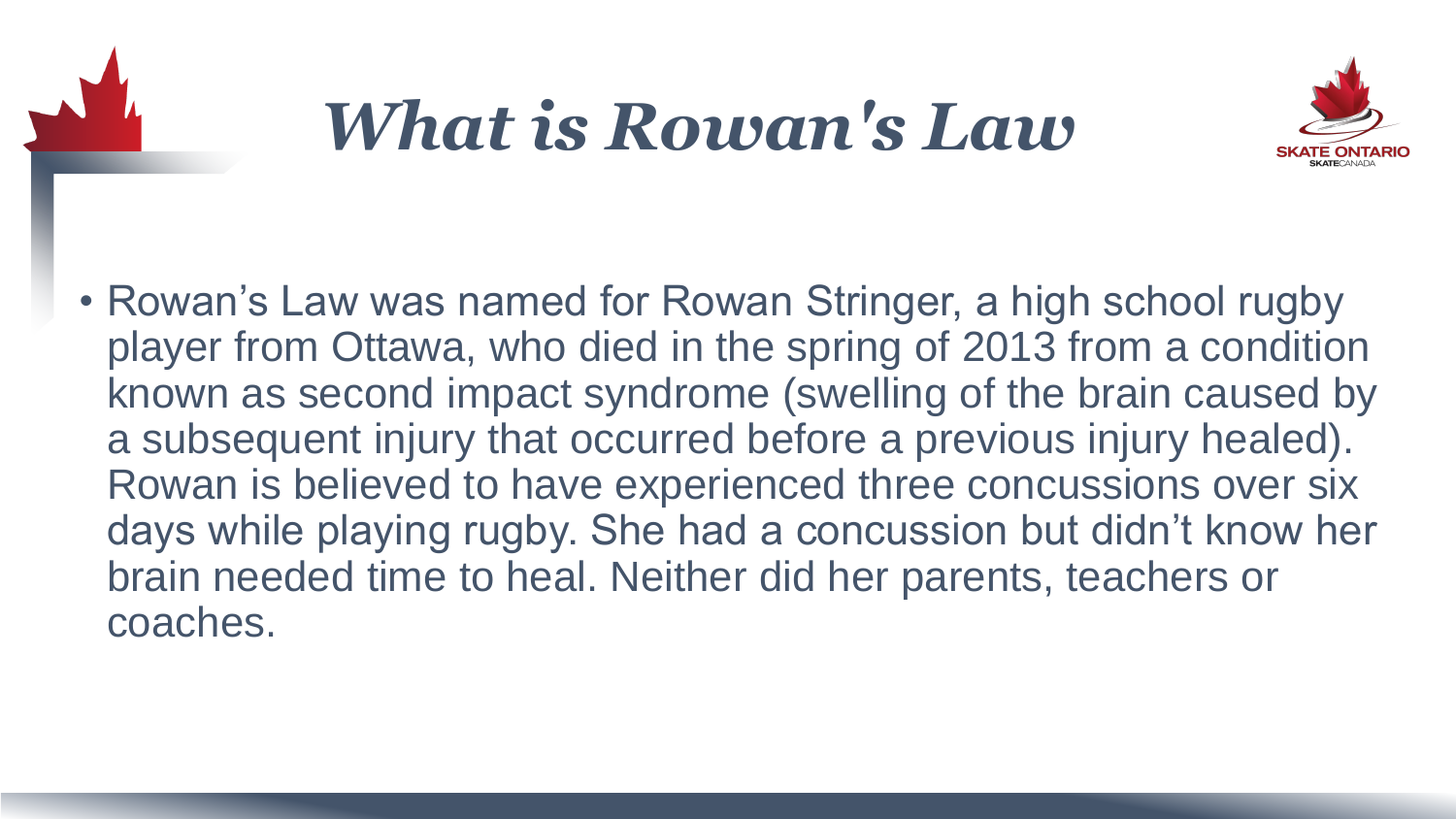

### *What is Rowan's Law*



• Rowan's Law was named for Rowan Stringer, a high school rugby player from Ottawa, who died in the spring of 2013 from a condition known as second impact syndrome (swelling of the brain caused by a subsequent injury that occurred before a previous injury healed). Rowan is believed to have experienced three concussions over six days while playing rugby. She had a concussion but didn't know her brain needed time to heal. Neither did her parents, teachers or coaches.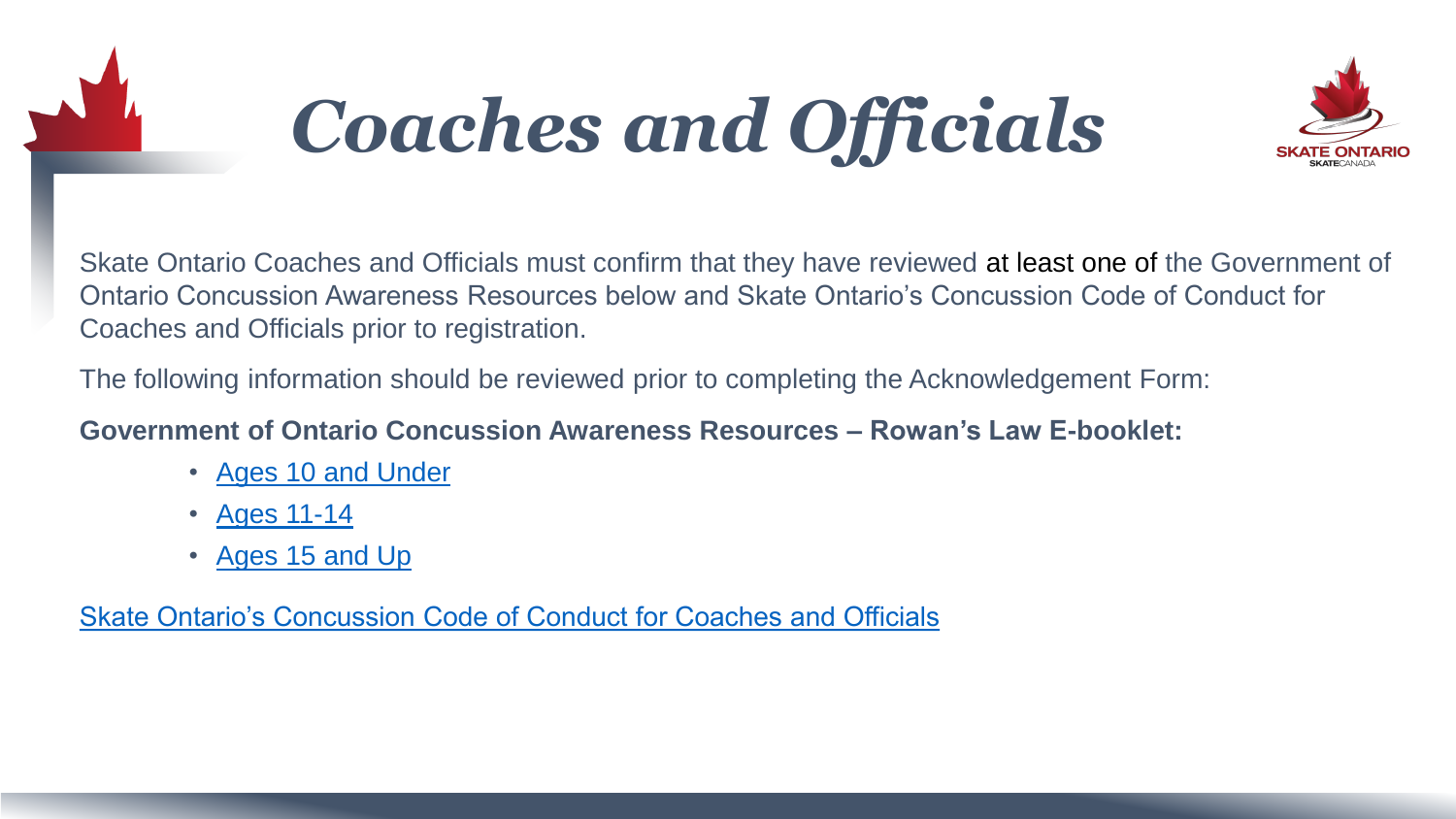

## *Coaches and Officials*



Skate Ontario Coaches and Officials must confirm that they have reviewed at least one of the Government of Ontario Concussion Awareness Resources below and Skate Ontario's Concussion Code of Conduct for Coaches and Officials prior to registration.

The following information should be reviewed prior to completing the Acknowledgement Form:

#### **Government of Ontario Concussion Awareness Resources – Rowan's Law E-booklet:**

- [Ages 10 and Under](https://www.ontario.ca/page/ontario-government-concussion-awareness-resource-e-booklet-ages-10-and-under)
- [Ages 11-14](https://www.ontario.ca/page/ontario-government-concussion-awareness-resource-e-booklet-ages-11-14)
- [Ages 15 and Up](https://www.ontario.ca/page/ontario-government-concussion-awareness-resource-e-booklet-ages-15-and-up)

[Skate Ontario's Concussion Code of Conduct for Coaches and Officials](https://skateontario.org/wp-content/uploads/2019/09/Skate-Ontarios-Code-of-Conduct-Coaches-and-Officials.pdf)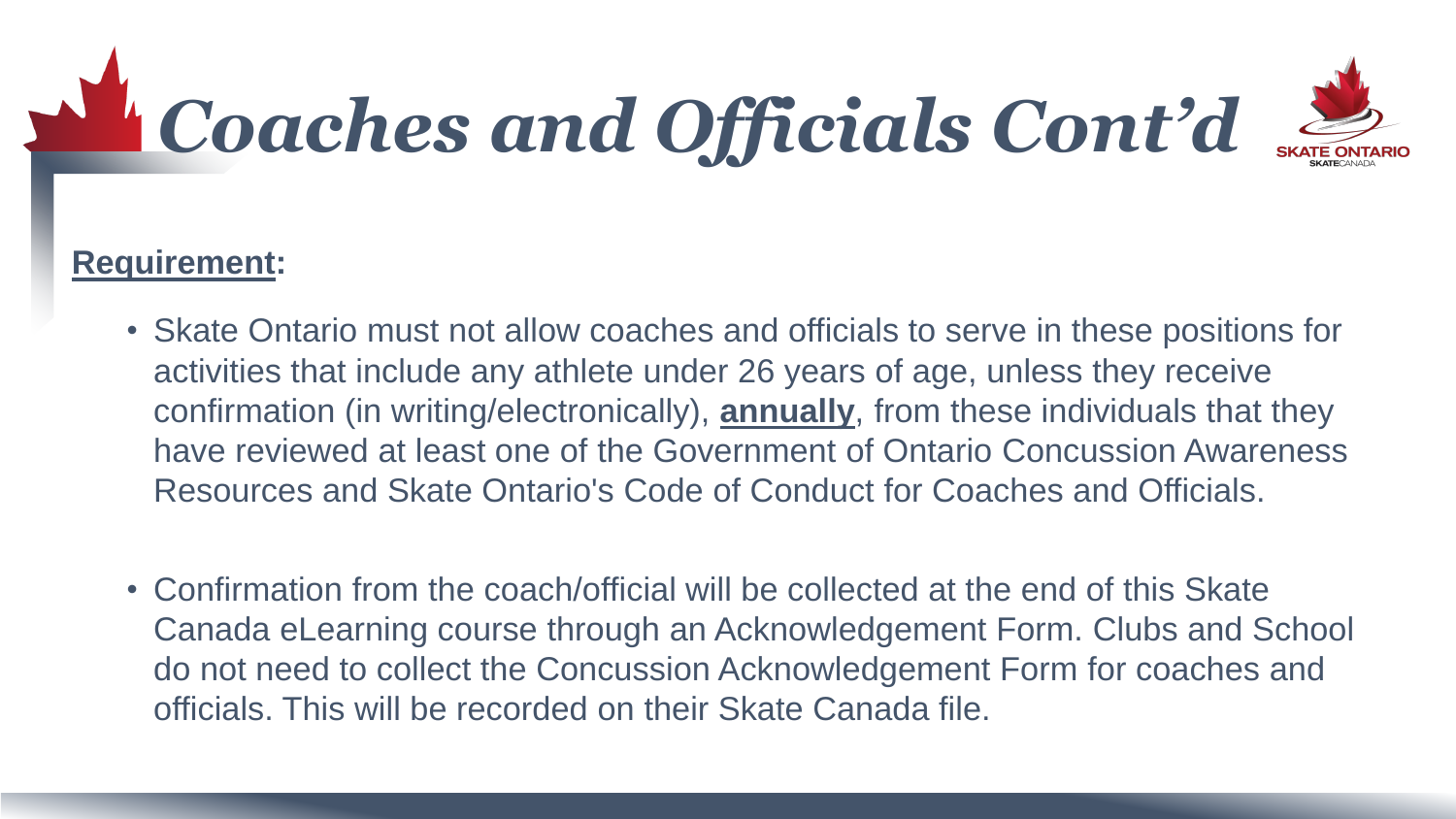# *Coaches and Officials Cont'd*



#### **Requirement:**

- Skate Ontario must not allow coaches and officials to serve in these positions for activities that include any athlete under 26 years of age, unless they receive confirmation (in writing/electronically), **annually**, from these individuals that they have reviewed at least one of the Government of Ontario Concussion Awareness Resources and Skate Ontario's Code of Conduct for Coaches and Officials.
- Confirmation from the coach/official will be collected at the end of this Skate Canada eLearning course through an Acknowledgement Form. Clubs and School do not need to collect the Concussion Acknowledgement Form for coaches and officials. This will be recorded on their Skate Canada file.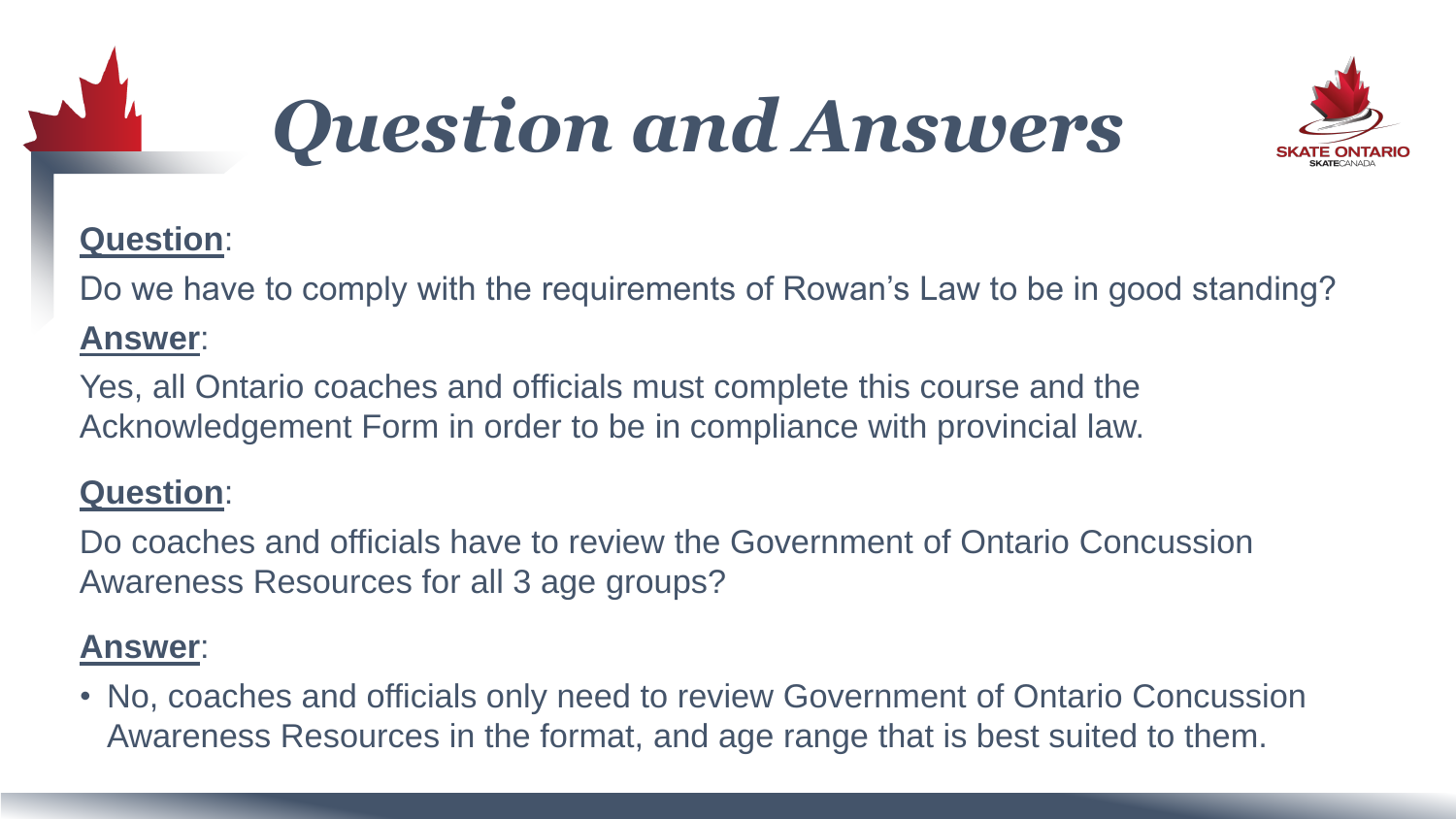

## *Question and Answers*



#### **Question**:

Do we have to comply with the requirements of Rowan's Law to be in good standing?

#### **Answer**:

Yes, all Ontario coaches and officials must complete this course and the Acknowledgement Form in order to be in compliance with provincial law.

#### **Question**:

Do coaches and officials have to review the Government of Ontario Concussion Awareness Resources for all 3 age groups?

#### **Answer**:

• No, coaches and officials only need to review Government of Ontario Concussion Awareness Resources in the format, and age range that is best suited to them.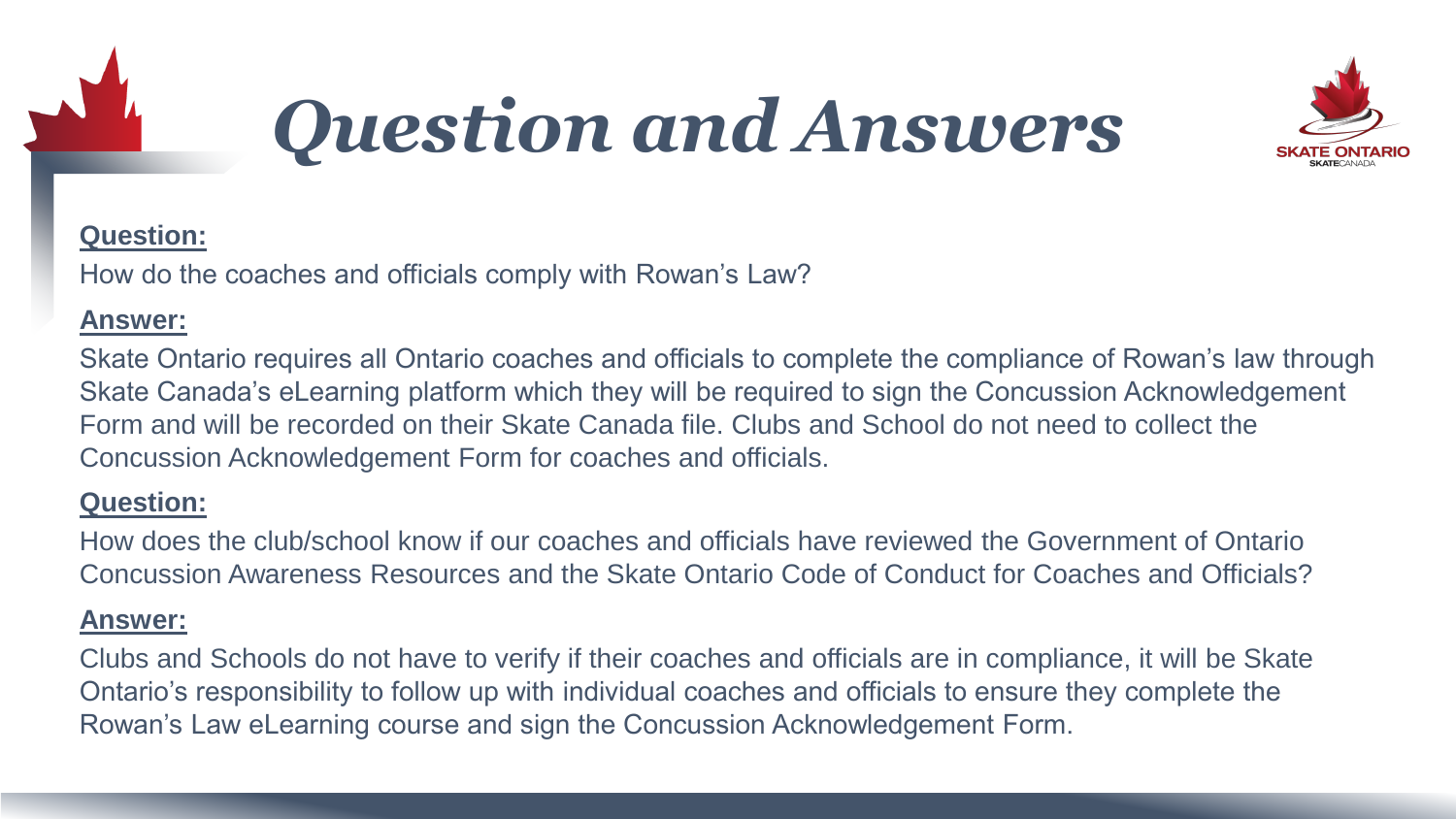

### *Question and Answers*



#### **Question:**

How do the coaches and officials comply with Rowan's Law?

#### **Answer:**

Skate Ontario requires all Ontario coaches and officials to complete the compliance of Rowan's law through Skate Canada's eLearning platform which they will be required to sign the Concussion Acknowledgement Form and will be recorded on their Skate Canada file. Clubs and School do not need to collect the Concussion Acknowledgement Form for coaches and officials.

#### **Question:**

How does the club/school know if our coaches and officials have reviewed the Government of Ontario Concussion Awareness Resources and the Skate Ontario Code of Conduct for Coaches and Officials?

#### **Answer:**

Clubs and Schools do not have to verify if their coaches and officials are in compliance, it will be Skate Ontario's responsibility to follow up with individual coaches and officials to ensure they complete the Rowan's Law eLearning course and sign the Concussion Acknowledgement Form.